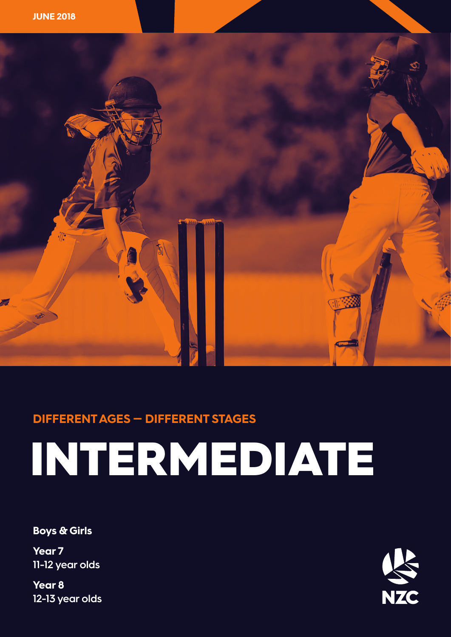



### **DIFFERENT AGES — DIFFERENT STAGES**

# INTERMEDIATE

**Boys & Girls**

**Year 7 11-12 year olds**

**Year 8 12-13 year olds**

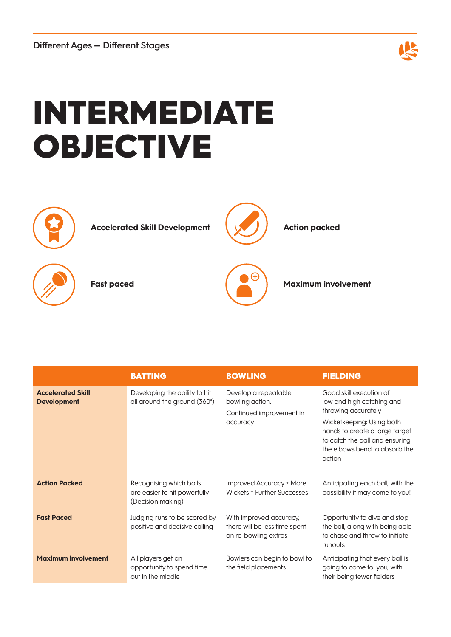

## INTERMEDIATE OBJECTIVE



|                                                | <b>BATTING</b>                                                               | <b>BOWLING</b>                                                                   | <b>FIELDING</b>                                                                                                                                                                                                         |
|------------------------------------------------|------------------------------------------------------------------------------|----------------------------------------------------------------------------------|-------------------------------------------------------------------------------------------------------------------------------------------------------------------------------------------------------------------------|
| <b>Accelerated Skill</b><br><b>Development</b> | Developing the ability to hit<br>all around the ground (360°)                | Develop a repeatable<br>bowling action.<br>Continued improvement in<br>accuracy  | Good skill execution of<br>low and high catching and<br>throwing accurately<br>Wicketkeeping: Using both<br>hands to create a large target<br>to catch the ball and ensuring<br>the elbows bend to absorb the<br>action |
| <b>Action Packed</b>                           | Recognising which balls<br>are easier to hit powerfully<br>(Decision making) | Improved Accuracy + More<br>Wickets = Further Successes                          | Anticipating each ball, with the<br>possibility it may come to you!                                                                                                                                                     |
| <b>Fast Paced</b>                              | Judging runs to be scored by<br>positive and decisive calling                | With improved accuracy,<br>there will be less time spent<br>on re-bowling extras | Opportunity to dive and stop<br>the ball, along with being able<br>to chase and throw to initiate<br>runouts                                                                                                            |
| <b>Maximum involvement</b>                     | All players get an<br>opportunity to spend time<br>out in the middle         | Bowlers can begin to bowl to<br>the field placements                             | Anticipating that every ball is<br>going to come to you, with<br>their being fewer fielders                                                                                                                             |